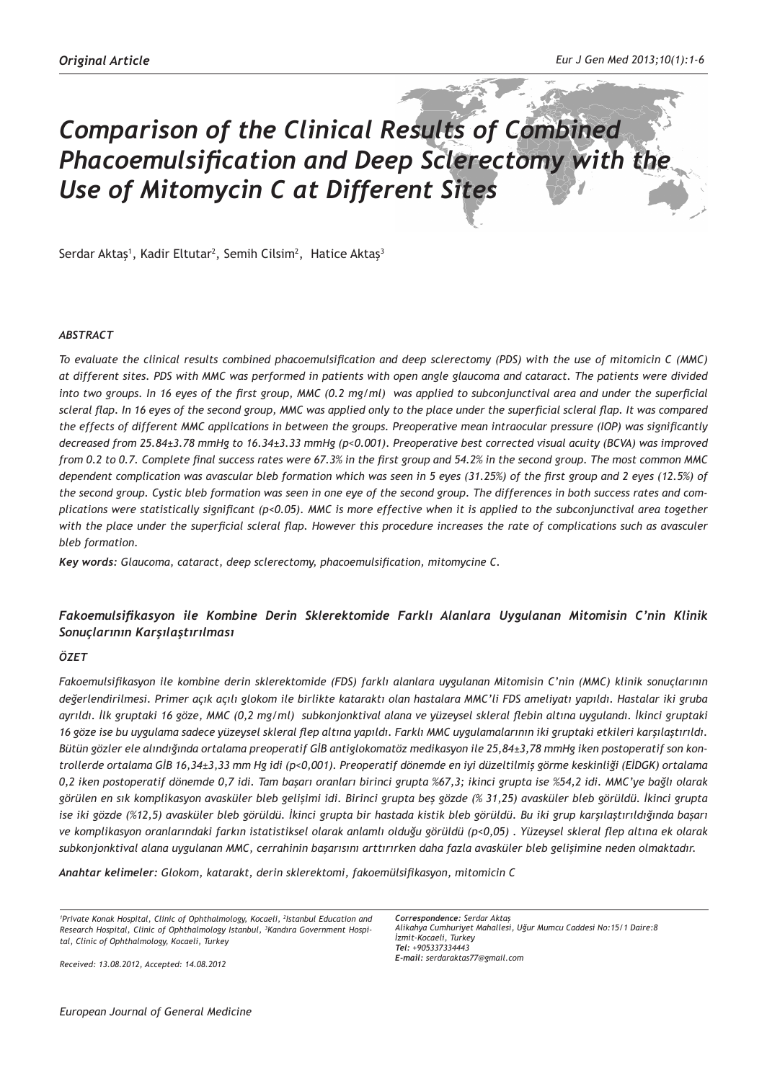# *Comparison of the Clinical Results of Combined Phacoemulsification and Deep Sclerectomy with the Use of Mitomycin C at Different Sites*

Serdar Aktaş<sup>1</sup>, Kadir Eltutar<sup>2</sup>, Semih Cilsim<sup>2</sup>, Hatice Aktaş<sup>3</sup>

#### *ABSTRACT*

*To evaluate the clinical results combined phacoemulsification and deep sclerectomy (PDS) with the use of mitomicin C (MMC) at different sites. PDS with MMC was performed in patients with open angle glaucoma and cataract. The patients were divided into two groups. In 16 eyes of the first group, MMC (0.2 mg/ml) was applied to subconjunctival area and under the superficial scleral flap. In 16 eyes of the second group, MMC was applied only to the place under the superficial scleral flap. It was compared the effects of different MMC applications in between the groups. Preoperative mean intraocular pressure (IOP) was significantly decreased from 25.84±3.78 mmHg to 16.34±3.33 mmHg (p<0.001). Preoperative best corrected visual acuity (BCVA) was improved from 0.2 to 0.7. Complete final success rates were 67.3% in the first group and 54.2% in the second group. The most common MMC dependent complication was avascular bleb formation which was seen in 5 eyes (31.25%) of the first group and 2 eyes (12.5%) of the second group. Cystic bleb formation was seen in one eye of the second group. The differences in both success rates and complications were statistically significant (p<0.05). MMC is more effective when it is applied to the subconjunctival area together*  with the place under the superficial scleral flap. However this procedure increases the rate of complications such as avasculer *bleb formation.* 

*Key words: Glaucoma, cataract, deep sclerectomy, phacoemulsification, mitomycine C.*

# *Fakoemulsifikasyon ile Kombine Derin Sklerektomide Farklı Alanlara Uygulanan Mitomisin C'nin Klinik Sonuçlarının Karşılaştırılması*

# *ÖZET*

*Fakoemulsifikasyon ile kombine derin sklerektomide (FDS) farklı alanlara uygulanan Mitomisin C'nin (MMC) klinik sonuçlarının değerlendirilmesi. Primer açık açılı glokom ile birlikte kataraktı olan hastalara MMC'li FDS ameliyatı yapıldı. Hastalar iki gruba ayrıldı. İlk gruptaki 16 göze, MMC (0,2 mg/ml) subkonjonktival alana ve yüzeysel skleral flebin altına uygulandı. İkinci gruptaki 16 göze ise bu uygulama sadece yüzeysel skleral flep altına yapıldı. Farklı MMC uygulamalarının iki gruptaki etkileri karşılaştırıldı. Bütün gözler ele alındığında ortalama preoperatif GİB antiglokomatöz medikasyon ile 25,84±3,78 mmHg iken postoperatif son kontrollerde ortalama GİB 16,34±3,33 mm Hg idi (p<0,001). Preoperatif dönemde en iyi düzeltilmiş görme keskinliği (EİDGK) ortalama 0,2 iken postoperatif dönemde 0,7 idi. Tam başarı oranları birinci grupta %67,3; ikinci grupta ise %54,2 idi. MMC'ye bağlı olarak görülen en sık komplikasyon avasküler bleb gelişimi idi. Birinci grupta beş gözde (% 31,25) avasküler bleb görüldü. İkinci grupta ise iki gözde (%12,5) avasküler bleb görüldü. İkinci grupta bir hastada kistik bleb görüldü. Bu iki grup karşılaştırıldığında başarı ve komplikasyon oranlarındaki farkın istatistiksel olarak anlamlı olduğu görüldü (p<0,05) . Yüzeysel skleral flep altına ek olarak subkonjonktival alana uygulanan MMC, cerrahinin başarısını arttırırken daha fazla avasküler bleb gelişimine neden olmaktadır.*

*Anahtar kelimeler: Glokom, katarakt, derin sklerektomi, fakoemülsifikasyon, mitomicin C*

*1 Private Konak Hospital, Clinic of Ophthalmology, Kocaeli, 2 Istanbul Education and Research Hospital, Clinic of Ophthalmology Istanbul, 3 Kandıra Government Hospital, Clinic of Ophthalmology, Kocaeli, Turkey*

*Correspondence: Serdar Aktaş Alikahya Cumhuriyet Mahallesi, Uğur Mumcu Caddesi No:15/1 Daire:8 İzmit-Kocaeli, Turkey Tel: +905337334443 E-mail: serdaraktas77@gmail.com*

*Received: 13.08.2012, Accepted: 14.08.2012*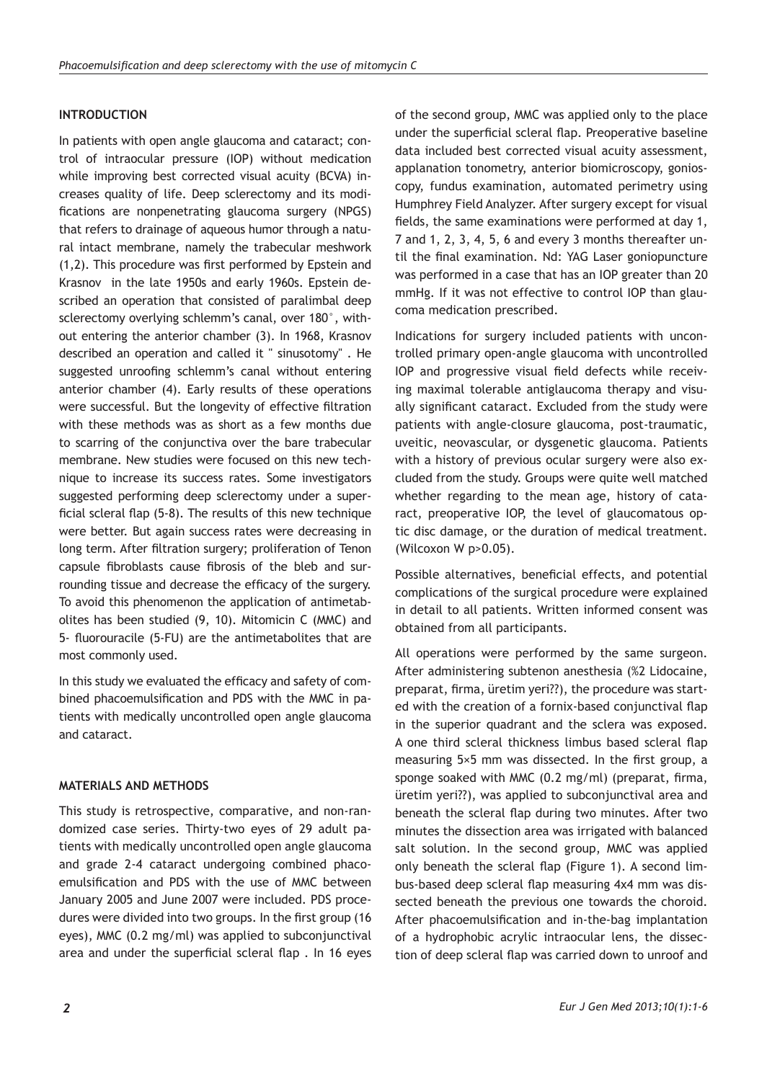# **INTRODUCTION**

In patients with open angle glaucoma and cataract; control of intraocular pressure (IOP) without medication while improving best corrected visual acuity (BCVA) increases quality of life. Deep sclerectomy and its modifications are nonpenetrating glaucoma surgery (NPGS) that refers to drainage of aqueous humor through a natural intact membrane, namely the trabecular meshwork (1,2). This procedure was first performed by Epstein and Krasnov in the late 1950s and early 1960s. Epstein described an operation that consisted of paralimbal deep sclerectomy overlying schlemm's canal, over 180°, without entering the anterior chamber (3). In 1968, Krasnov described an operation and called it " sinusotomy" . He suggested unroofing schlemm's canal without entering anterior chamber (4). Early results of these operations were successful. But the longevity of effective filtration with these methods was as short as a few months due to scarring of the conjunctiva over the bare trabecular membrane. New studies were focused on this new technique to increase its success rates. Some investigators suggested performing deep sclerectomy under a superficial scleral flap (5-8). The results of this new technique were better. But again success rates were decreasing in long term. After filtration surgery; proliferation of Tenon capsule fibroblasts cause fibrosis of the bleb and surrounding tissue and decrease the efficacy of the surgery. To avoid this phenomenon the application of antimetabolites has been studied (9, 10). Mitomicin C (MMC) and 5- fluorouracile (5-FU) are the antimetabolites that are most commonly used.

In this study we evaluated the efficacy and safety of combined phacoemulsification and PDS with the MMC in patients with medically uncontrolled open angle glaucoma and cataract.

# **MATERIALS AND METHODS**

This study is retrospective, comparative, and non-randomized case series. Thirty-two eyes of 29 adult patients with medically uncontrolled open angle glaucoma and grade 2-4 cataract undergoing combined phacoemulsification and PDS with the use of MMC between January 2005 and June 2007 were included. PDS procedures were divided into two groups. In the first group (16 eyes), MMC (0.2 mg/ml) was applied to subconjunctival area and under the superficial scleral flap . In 16 eyes of the second group, MMC was applied only to the place under the superficial scleral flap. Preoperative baseline data included best corrected visual acuity assessment, applanation tonometry, anterior biomicroscopy, gonioscopy, fundus examination, automated perimetry using Humphrey Field Analyzer. After surgery except for visual fields, the same examinations were performed at day 1, 7 and 1, 2, 3, 4, 5, 6 and every 3 months thereafter until the final examination. Nd: YAG Laser goniopuncture was performed in a case that has an IOP greater than 20 mmHg. If it was not effective to control IOP than glaucoma medication prescribed.

Indications for surgery included patients with uncontrolled primary open-angle glaucoma with uncontrolled IOP and progressive visual field defects while receiving maximal tolerable antiglaucoma therapy and visually significant cataract. Excluded from the study were patients with angle-closure glaucoma, post-traumatic, uveitic, neovascular, or dysgenetic glaucoma. Patients with a history of previous ocular surgery were also excluded from the study. Groups were quite well matched whether regarding to the mean age, history of cataract, preoperative IOP, the level of glaucomatous optic disc damage, or the duration of medical treatment. (Wilcoxon W p>0.05).

Possible alternatives, beneficial effects, and potential complications of the surgical procedure were explained in detail to all patients. Written informed consent was obtained from all participants.

All operations were performed by the same surgeon. After administering subtenon anesthesia (%2 Lidocaine, preparat, firma, üretim yeri??), the procedure was started with the creation of a fornix-based conjunctival flap in the superior quadrant and the sclera was exposed. A one third scleral thickness limbus based scleral flap measuring 5×5 mm was dissected. In the first group, a sponge soaked with MMC (0.2 mg/ml) (preparat, firma, üretim yeri??), was applied to subconjunctival area and beneath the scleral flap during two minutes. After two minutes the dissection area was irrigated with balanced salt solution. In the second group, MMC was applied only beneath the scleral flap (Figure 1). A second limbus-based deep scleral flap measuring 4x4 mm was dissected beneath the previous one towards the choroid. After phacoemulsification and in-the-bag implantation of a hydrophobic acrylic intraocular lens, the dissection of deep scleral flap was carried down to unroof and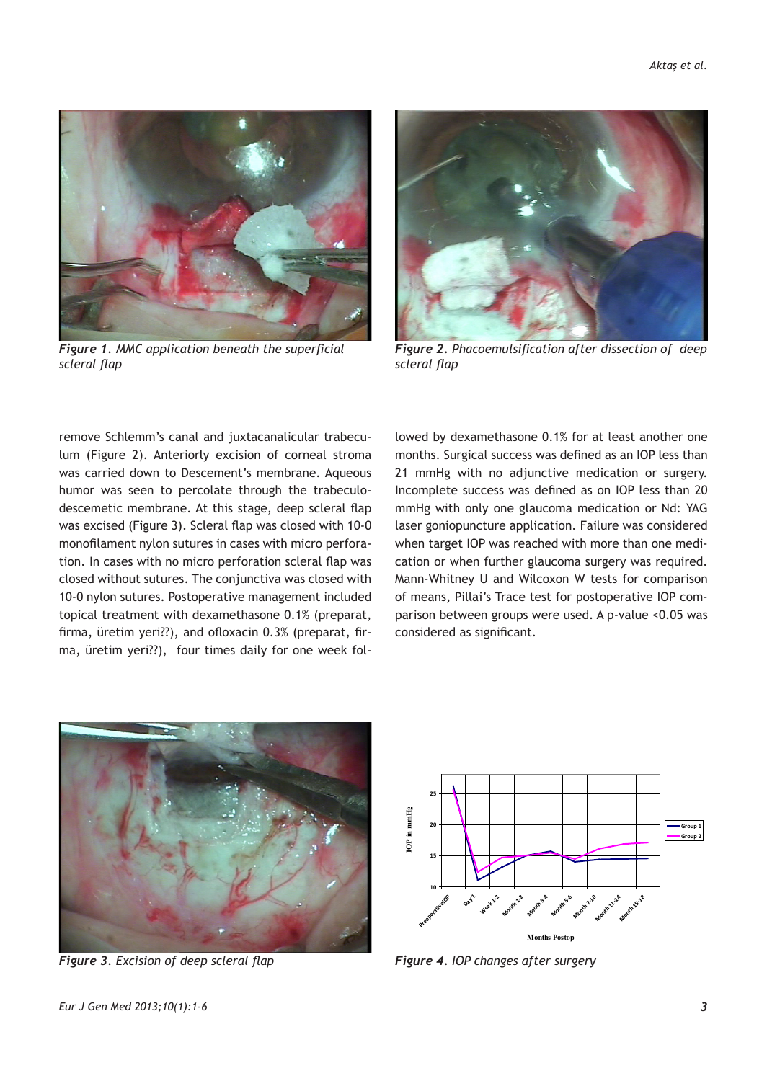

*Figure 1. MMC application beneath the superficial scleral flap*



*Figure 2. Phacoemulsification after dissection of deep scleral flap*

remove Schlemm's canal and juxtacanalicular trabeculum (Figure 2). Anteriorly excision of corneal stroma was carried down to Descement's membrane. Aqueous humor was seen to percolate through the trabeculodescemetic membrane. At this stage, deep scleral flap was excised (Figure 3). Scleral flap was closed with 10-0 monofilament nylon sutures in cases with micro perforation. In cases with no micro perforation scleral flap was closed without sutures. The conjunctiva was closed with 10-0 nylon sutures. Postoperative management included topical treatment with dexamethasone 0.1% (preparat, firma, üretim yeri??), and ofloxacin 0.3% (preparat, firma, üretim yeri??), four times daily for one week followed by dexamethasone 0.1% for at least another one months. Surgical success was defined as an IOP less than 21 mmHg with no adjunctive medication or surgery. Incomplete success was defined as on IOP less than 20 mmHg with only one glaucoma medication or Nd: YAG laser goniopuncture application. Failure was considered when target IOP was reached with more than one medication or when further glaucoma surgery was required. Mann-Whitney U and Wilcoxon W tests for comparison of means, Pillai's Trace test for postoperative IOP comparison between groups were used. A p-value <0.05 was considered as significant.



*Figure 3. Excision of deep scleral flap*



*Figure 4. IOP changes after surgery*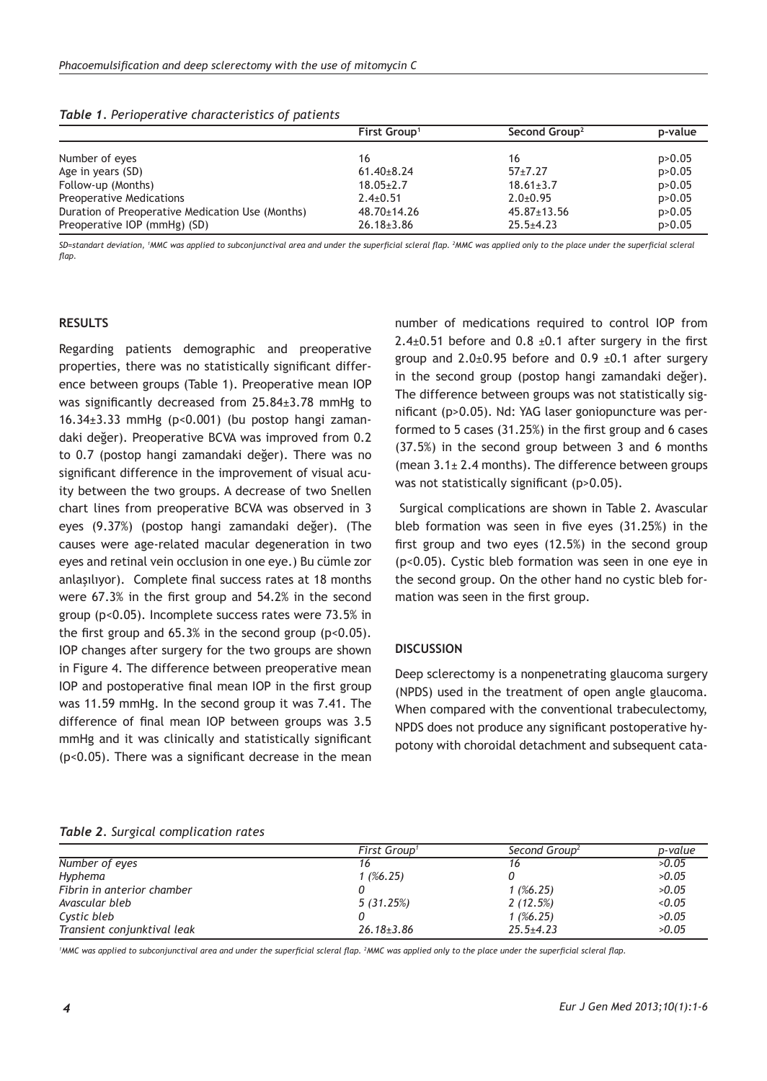|                                                  | First Group <sup>1</sup> | Second Group <sup>2</sup> | p-value  |
|--------------------------------------------------|--------------------------|---------------------------|----------|
| Number of eyes                                   | 16                       | 16                        | p > 0.05 |
| Age in years (SD)                                | $61.40 \pm 8.24$         | $57+7.27$                 | p > 0.05 |
| Follow-up (Months)                               | $18.05 \pm 2.7$          | $18.61 \pm 3.7$           | p > 0.05 |
| Preoperative Medications                         | $2.4 \pm 0.51$           | $2.0 \pm 0.95$            | p > 0.05 |
| Duration of Preoperative Medication Use (Months) | $48.70 \pm 14.26$        | $45.87 \pm 13.56$         | p > 0.05 |
| Preoperative IOP (mmHg) (SD)                     | $26.18 \pm 3.86$         | $25.5 + 4.23$             | p > 0.05 |

*Table 1. Perioperative characteristics of patients* 

*SD=standart deviation, 1 MMC was applied to subconjunctival area and under the superficial scleral flap. 2 MMC was applied only to the place under the superficial scleral flap.*

#### **RESULTS**

Regarding patients demographic and preoperative properties, there was no statistically significant difference between groups (Table 1). Preoperative mean IOP was significantly decreased from 25.84±3.78 mmHg to 16.34 $\pm$ 3.33 mmHg (p<0.001) (bu postop hangi zamandaki değer). Preoperative BCVA was improved from 0.2 to 0.7 (postop hangi zamandaki değer). There was no significant difference in the improvement of visual acuity between the two groups. A decrease of two Snellen chart lines from preoperative BCVA was observed in 3 eyes (9.37%) (postop hangi zamandaki değer). (The causes were age-related macular degeneration in two eyes and retinal vein occlusion in one eye.) Bu cümle zor anlaşılıyor). Complete final success rates at 18 months were 67.3% in the first group and 54.2% in the second group (p<0.05). Incomplete success rates were 73.5% in the first group and  $65.3\%$  in the second group ( $p<0.05$ ). IOP changes after surgery for the two groups are shown in Figure 4. The difference between preoperative mean IOP and postoperative final mean IOP in the first group was 11.59 mmHg. In the second group it was 7.41. The difference of final mean IOP between groups was 3.5 mmHg and it was clinically and statistically significant (p<0.05). There was a significant decrease in the mean number of medications required to control IOP from 2.4 $\pm$ 0.51 before and 0.8  $\pm$ 0.1 after surgery in the first group and  $2.0\pm0.95$  before and  $0.9\pm0.1$  after surgery in the second group (postop hangi zamandaki değer). The difference between groups was not statistically significant (p>0.05). Nd: YAG laser goniopuncture was performed to 5 cases (31.25%) in the first group and 6 cases (37.5%) in the second group between 3 and 6 months (mean 3.1± 2.4 months). The difference between groups was not statistically significant (p>0.05).

 Surgical complications are shown in Table 2. Avascular bleb formation was seen in five eyes (31.25%) in the first group and two eyes (12.5%) in the second group (p<0.05). Cystic bleb formation was seen in one eye in the second group. On the other hand no cystic bleb formation was seen in the first group.

# **DISCUSSION**

Deep sclerectomy is a nonpenetrating glaucoma surgery (NPDS) used in the treatment of open angle glaucoma. When compared with the conventional trabeculectomy, NPDS does not produce any significant postoperative hypotony with choroidal detachment and subsequent cata-

#### *Table 2. Surgical complication rates*

|                             | First Group <sup>1</sup> | Second Group <sup>2</sup> | p-value |
|-----------------------------|--------------------------|---------------------------|---------|
| Number of eyes              |                          | 16                        | >0.05   |
| Hyphema                     | $1($ %6.25)              |                           | >0.05   |
| Fibrin in anterior chamber  |                          | $1($ %6.25)               | >0.05   |
| Avascular bleb              | 5(31.25%)                | 2(12.5%)                  | < 0.05  |
| Cystic bleb                 |                          | $1($ %6.25)               | >0.05   |
| Transient conjunktival leak | $26.18 \pm 3.86$         | $25.5 + 4.23$             | >0.05   |

<sup>1</sup>MMC was applied to subconjunctival area and under the superficial scleral flap. <sup>2</sup>MMC was applied only to the place under the superficial scleral flap.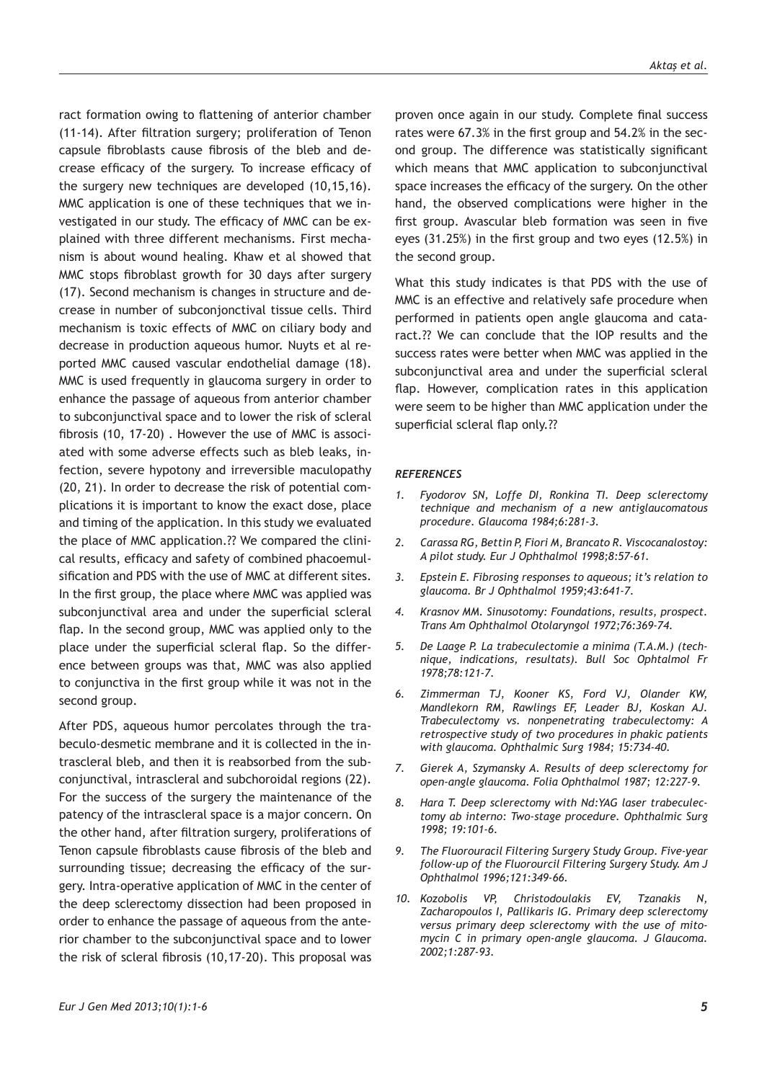ract formation owing to flattening of anterior chamber (11-14). After filtration surgery; proliferation of Tenon capsule fibroblasts cause fibrosis of the bleb and decrease efficacy of the surgery. To increase efficacy of the surgery new techniques are developed (10,15,16). MMC application is one of these techniques that we investigated in our study. The efficacy of MMC can be explained with three different mechanisms. First mechanism is about wound healing. Khaw et al showed that MMC stops fibroblast growth for 30 days after surgery (17). Second mechanism is changes in structure and decrease in number of subconjonctival tissue cells. Third mechanism is toxic effects of MMC on ciliary body and decrease in production aqueous humor. Nuyts et al reported MMC caused vascular endothelial damage (18). MMC is used frequently in glaucoma surgery in order to enhance the passage of aqueous from anterior chamber to subconjunctival space and to lower the risk of scleral fibrosis (10, 17-20) . However the use of MMC is associated with some adverse effects such as bleb leaks, infection, severe hypotony and irreversible maculopathy (20, 21). In order to decrease the risk of potential complications it is important to know the exact dose, place and timing of the application. In this study we evaluated the place of MMC application.?? We compared the clinical results, efficacy and safety of combined phacoemulsification and PDS with the use of MMC at different sites. In the first group, the place where MMC was applied was subconjunctival area and under the superficial scleral flap. In the second group, MMC was applied only to the place under the superficial scleral flap. So the difference between groups was that, MMC was also applied to conjunctiva in the first group while it was not in the second group.

After PDS, aqueous humor percolates through the trabeculo-desmetic membrane and it is collected in the intrascleral bleb, and then it is reabsorbed from the subconjunctival, intrascleral and subchoroidal regions (22). For the success of the surgery the maintenance of the patency of the intrascleral space is a major concern. On the other hand, after filtration surgery, proliferations of Tenon capsule fibroblasts cause fibrosis of the bleb and surrounding tissue; decreasing the efficacy of the surgery. Intra-operative application of MMC in the center of the deep sclerectomy dissection had been proposed in order to enhance the passage of aqueous from the anterior chamber to the subconjunctival space and to lower the risk of scleral fibrosis (10,17-20). This proposal was

proven once again in our study. Complete final success rates were 67.3% in the first group and 54.2% in the second group. The difference was statistically significant which means that MMC application to subconjunctival space increases the efficacy of the surgery. On the other hand, the observed complications were higher in the first group. Avascular bleb formation was seen in five eyes (31.25%) in the first group and two eyes (12.5%) in the second group.

What this study indicates is that PDS with the use of MMC is an effective and relatively safe procedure when performed in patients open angle glaucoma and cataract.?? We can conclude that the IOP results and the success rates were better when MMC was applied in the subconjunctival area and under the superficial scleral flap. However, complication rates in this application were seem to be higher than MMC application under the superficial scleral flap only.??

#### *REFERENCES*

- *1. Fyodorov SN, Loffe DI, Ronkina TI. Deep sclerectomy technique and mechanism of a new antiglaucomatous procedure. Glaucoma 1984;6:281-3.*
- *2. Carassa RG, Bettin P, Fiori M, Brancato R. Viscocanalostoy: A pilot study. Eur J Ophthalmol 1998;8:57-61.*
- *3. Epstein E. Fibrosing responses to aqueous; it's relation to glaucoma. Br J Ophthalmol 1959;43:641-7.*
- *4. Krasnov MM. Sinusotomy: Foundations, results, prospect. Trans Am Ophthalmol Otolaryngol 1972;76:369-74.*
- *5. De Laage P. La trabeculectomie a minima (T.A.M.) (technique, indications, resultats). Bull Soc Ophtalmol Fr 1978;78:121-7.*
- *6. Zimmerman TJ, Kooner KS, Ford VJ, Olander KW, Mandlekorn RM, Rawlings EF, Leader BJ, Koskan AJ. Trabeculectomy vs. nonpenetrating trabeculectomy: A retrospective study of two procedures in phakic patients with glaucoma. Ophthalmic Surg 1984; 15:734-40.*
- *7. Gierek A, Szymansky A. Results of deep sclerectomy for open-angle glaucoma. Folia Ophthalmol 1987; 12:227-9.*
- *8. Hara T. Deep sclerectomy with Nd:YAG laser trabeculectomy ab interno: Two-stage procedure. Ophthalmic Surg 1998; 19:101-6.*
- *9. The Fluorouracil Filtering Surgery Study Group. Five-year follow-up of the Fluorourcil Filtering Surgery Study. Am J Ophthalmol 1996;121:349-66.*
- *10. Kozobolis VP, Christodoulakis EV, Tzanakis N, Zacharopoulos I, Pallikaris IG. Primary deep sclerectomy versus primary deep sclerectomy with the use of mitomycin C in primary open-angle glaucoma. J Glaucoma. 2002;1:287-93.*